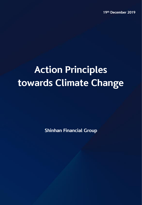# **Action Principles towards Climate Change**

**Shinhan Financial Group**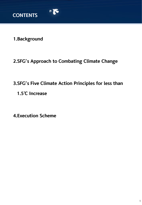

**1.Background**

## **2.SFG's Approach to Combating Climate Change**

# **3.SFG's Five Climate Action Principles for less than**

**1.5℃ Increase**

**4.Execution Scheme**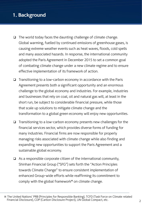## **1. Background**

- $\Box$  The world today faces the daunting challenge of climate change. Global warming, fuelled by continued emissions of greenhouse gases, is causing extreme weather events such as heat waves, floods, cold spells and many associated hazards. In response, the international community adopted the Paris Agreement in December 2015 to set a common goal of combating climate change under a new climate regime and to ensure effective implementation of its framework of action.
- $\Box$  Transitioning to a low-carbon economy in accordance with the Paris Agreement presents both a significant opportunity and an enormous challenge to the global economy and industries. For example, industries and businesses that rely on coal, oil and natural gas will, at least in the short run, be subject to considerable financial pressure, while those that scale up solutions to mitigate climate change and the transformation to a global green economy will enjoy new opportunities.
- $\Box$  Transitioning to a low-carbon economy presents new challenges for the financial services sector, which provides diverse forms of funding for many industries. Financial firms are now responsible for properly managing risks associated with climate change while also finding and expanding new opportunities to support the Paris Agreement and a sustainable global economy.
- $\Box$  As a responsible corporate citizen of the international community, Shinhan Financial Group ("SFG") sets forth the "Action Principles towards Climate Change" to ensure consistent implementation of enhanced Group-wide efforts while reaffirming its commitment to comply with the global framework\* on climate change.

<sup>※</sup> The United Nations' PRB (Principles for Responsible Banking), TCFD (Task Force on Climate related Financial Disclosure), CDP (Carbon Disclosure Project), UN Global Compact, etc. <sup>2</sup>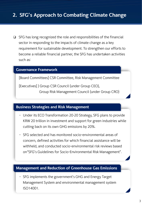## **2. SFG's Approach to Combating Climate Change**

 $\Box$  SFG has long recognized the role and responsibilities of the financial sector in responding to the impacts of climate change as a key requirement for sustainable development. To strengthen our efforts to become a reliable financial partner, the SFG has undertaken activities such as:

#### **Governance Framework**

[Board Committees] CSR Committee, Risk Management Committee

[Executives] ) Group CSR Council (under Group CEO), Group Risk Management Council (under Group CRO)

### **Business Strategies and Risk Management**

- Under its ECO Transformation 20∙20 Strategy, SFG plans to provide KRW 20 trillion in investment and support for green industries while cutting back on its own GHG emissions by 20%.
- SFG selected and has monitored socio-environmental areas of concern, defined activities for which financial assistance will be withheld, and conducted socio-environmental risk reviews based on"SFG's Guidelines for Socio-Environmental Risk Management".

#### **Management and Reduction of Greenhouse Gas Emissions**

- SFG implements the government's GHG and Energy Target Management System and environmental management system ISO14001.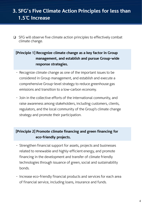## **3. SFG's Five Climate Action Principles for less than 1.5℃ Increase**

 $\Box$  SFG will observe five climate action principles to effectively combat climate change.

#### **[Principle 1] Recognize climate change as a key factor in Group management, and establish and pursue Group-wide response strategies.**

- Recognize climate change as one of the important issues to be considered in Group management, and establish and execute a comprehensive Group-level strategy to reduce greenhouse gas emissions and transition to a low-carbon economy.
- Join in the collective efforts of the international community, and raise awareness among stakeholders, including customers, clients, regulators, and the local community of the Group's climate change strategy and promote their participation.

#### **[Principle 2] Promote climate financing and green financing for eco-friendly projects.**

- Strengthen financial support for assets, projects and businesses related to renewable and highly-efficient energy, and promote financing in the development and transfer of climate friendly technologies through issuance of green, social and sustainability bonds.
- Increase eco-friendly financial products and services for each area of financial service, including loans, insurance and funds.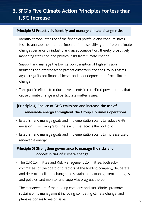## **3. SFG's Five Climate Action Principles for less than 1.5℃ Increase**

#### **[Principle 3] Proactively identify and manage climate change risks.**

- Identify carbon intensity of the financial portfolio and conduct stress tests to analyze the potential impact of and sensitivity to different climate change scenarios by industry and asset composition, thereby proactively managing transition and physical risks from climate change.
- Support and manage the low-carbon transition of high emission industries and enterprises to protect customers and the Group's assets against significant financial losses and asset depreciation from climate change.
- Take part in efforts to reduce investments in coal-fired power plants that cause climate change and particulate matter issues.

### **[Principle 4] Reduce of GHG emissions and increase the use of renewable energy throughout the Group's business operations.**

- Establish and manage goals and implementation plans to reduce GHG emissions from Group's business activities across the portfolio.
- Establish and manage goals and implementation plans to increase use of renewable energy.

#### **[Principle 5] Strengthen governance to manage the risks and opportunities of climate change.**

- The CSR Committee and Risk Management Committee, both subcommittees of the board of directors of the holding company, deliberate and determine climate change and sustainability management strategies and policies, and monitor and supervise progress thereof.
- The management of the holding company and subsidiaries promotes sustainability management including combating climate change, and plans responses to major issues.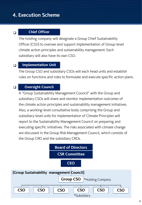## **4. Execution Scheme**

#### $\Box$

 $\Box$ 

#### **Chief Officer**

The holding company will designate a Group Chief Sustainability Officer (CSO) to oversee and support implementation of Group-level climate action principles and sustainability management. Each subsidiary will also have its own CSO.

#### $\Box$ **Implementation Unit**

The Group CSO and subsidiary CSOs will each head units and establish rules on functions and roles to formulate and execute specific action plans.

#### **Oversight Council**

A "Group Sustainability Management Council" with the Group and subsidiary CSOs will share and monitor implementation outcomes of the climate action principles and sustainability management initiatives. Also, a working-level consultative body comprising the Group and subsidiary-level units for implementation of Climate Principles will report to the Sustainability Management Council on preparing and executing specific initiatives. The risks associated with climate change are discussed in the Group Risk Management Council, which consists of the Group CRO and the subsidiary CROs.